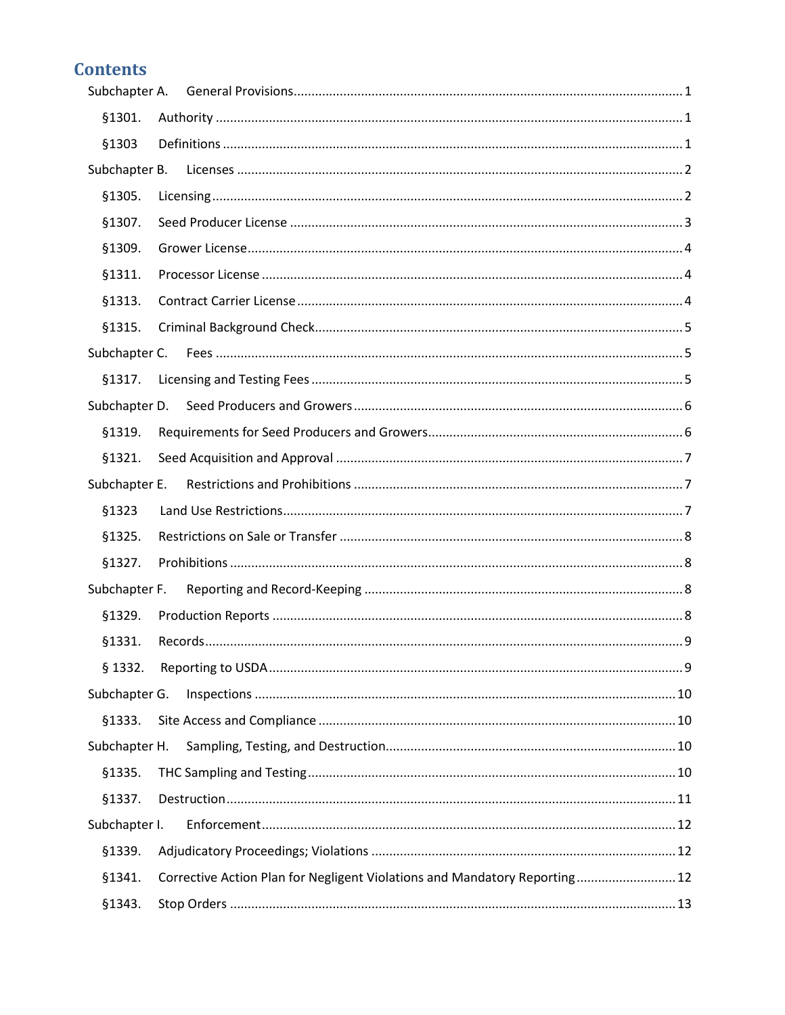# **Contents**

| §1301.        |                                                                            |  |
|---------------|----------------------------------------------------------------------------|--|
| §1303         |                                                                            |  |
|               |                                                                            |  |
| §1305.        |                                                                            |  |
| §1307.        |                                                                            |  |
| §1309.        |                                                                            |  |
| §1311.        |                                                                            |  |
| §1313.        |                                                                            |  |
| §1315.        |                                                                            |  |
|               |                                                                            |  |
| §1317.        |                                                                            |  |
|               |                                                                            |  |
| \$1319.       |                                                                            |  |
| §1321.        |                                                                            |  |
| Subchapter E. |                                                                            |  |
| §1323         |                                                                            |  |
| §1325.        |                                                                            |  |
| §1327.        |                                                                            |  |
| Subchapter F. |                                                                            |  |
| §1329.        |                                                                            |  |
| §1331.        |                                                                            |  |
| § 1332.       |                                                                            |  |
| Subchapter G. |                                                                            |  |
| \$1333.       |                                                                            |  |
| Subchapter H. |                                                                            |  |
| §1335.        |                                                                            |  |
| §1337.        |                                                                            |  |
| Subchapter I. |                                                                            |  |
| \$1339.       |                                                                            |  |
| §1341.        | Corrective Action Plan for Negligent Violations and Mandatory Reporting 12 |  |
| §1343.        |                                                                            |  |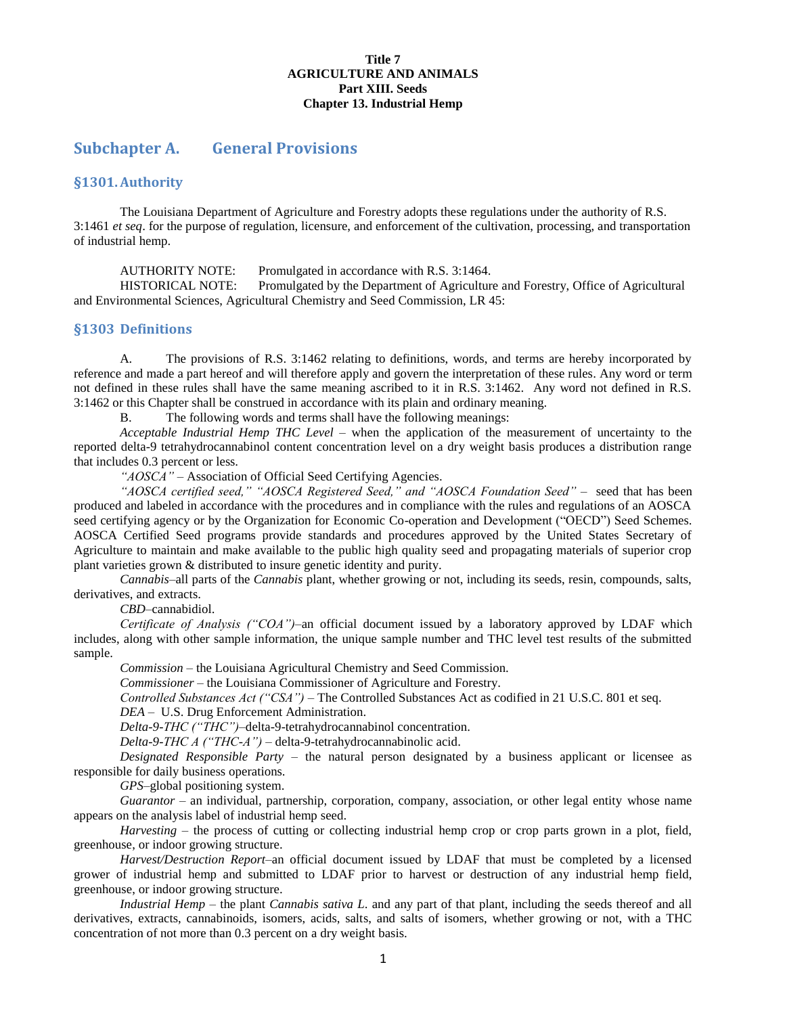#### **Title 7 AGRICULTURE AND ANIMALS Part XIII. Seeds Chapter 13. Industrial Hemp**

# <span id="page-1-0"></span>**Subchapter A. General Provisions**

#### <span id="page-1-1"></span>**§1301.Authority**

The Louisiana Department of Agriculture and Forestry adopts these regulations under the authority of R.S. 3:1461 *et seq*. for the purpose of regulation, licensure, and enforcement of the cultivation, processing, and transportation of industrial hemp.

AUTHORITY NOTE: Promulgated in accordance with R.S. 3:1464. HISTORICAL NOTE: Promulgated by the Department of Agriculture and Forestry, Office of Agricultural and Environmental Sciences, Agricultural Chemistry and Seed Commission, LR 45:

#### <span id="page-1-2"></span>**§1303 Definitions**

A. The provisions of R.S. 3:1462 relating to definitions, words, and terms are hereby incorporated by reference and made a part hereof and will therefore apply and govern the interpretation of these rules. Any word or term not defined in these rules shall have the same meaning ascribed to it in R.S. 3:1462. Any word not defined in R.S. 3:1462 or this Chapter shall be construed in accordance with its plain and ordinary meaning.

B. The following words and terms shall have the following meanings:

*Acceptable Industrial Hemp THC Level –* when the application of the measurement of uncertainty to the reported delta-9 tetrahydrocannabinol content concentration level on a dry weight basis produces a distribution range that includes 0.3 percent or less.

*"AOSCA" –* Association of Official Seed Certifying Agencies.

"AOSCA certified seed," "AOSCA Registered Seed," and "AOSCA Foundation Seed" – seed that has been produced and labeled in accordance with the procedures and in compliance with the rules and regulations of an AOSCA seed certifying agency or by the Organization for Economic Co-operation and Development ("OECD") Seed Schemes. AOSCA Certified Seed programs provide standards and procedures approved by the United States Secretary of Agriculture to maintain and make available to the public high quality seed and propagating materials of superior crop plant varieties grown & distributed to insure genetic identity and purity.

*Cannabis*–all parts of the *Cannabis* plant, whether growing or not, including its seeds, resin, compounds, salts, derivatives, and extracts.

*CBD*–cannabidiol.

*Certificate of Analysis ("COA")*–an official document issued by a laboratory approved by LDAF which includes, along with other sample information, the unique sample number and THC level test results of the submitted sample.

*Commission –* the Louisiana Agricultural Chemistry and Seed Commission.

*Commissioner –* the Louisiana Commissioner of Agriculture and Forestry.

*Controlled Substances Act ("CSA")* – The Controlled Substances Act as codified in 21 U.S.C. 801 et seq.

*DEA* – U.S. Drug Enforcement Administration.

*Delta-9-THC ("THC")*–delta-9-tetrahydrocannabinol concentration.

*Delta-9-THC A ("THC-A")* – delta-9-tetrahydrocannabinolic acid.

*Designated Responsible Party –* the natural person designated by a business applicant or licensee as responsible for daily business operations.

*GPS*–global positioning system.

*Guarantor* – an individual, partnership, corporation, company, association, or other legal entity whose name appears on the analysis label of industrial hemp seed.

*Harvesting –* the process of cutting or collecting industrial hemp crop or crop parts grown in a plot, field, greenhouse, or indoor growing structure.

*Harvest/Destruction Report*–an official document issued by LDAF that must be completed by a licensed grower of industrial hemp and submitted to LDAF prior to harvest or destruction of any industrial hemp field, greenhouse, or indoor growing structure.

*Industrial Hemp –* the plant *Cannabis sativa L*. and any part of that plant, including the seeds thereof and all derivatives, extracts, cannabinoids, isomers, acids, salts, and salts of isomers, whether growing or not, with a THC concentration of not more than 0.3 percent on a dry weight basis.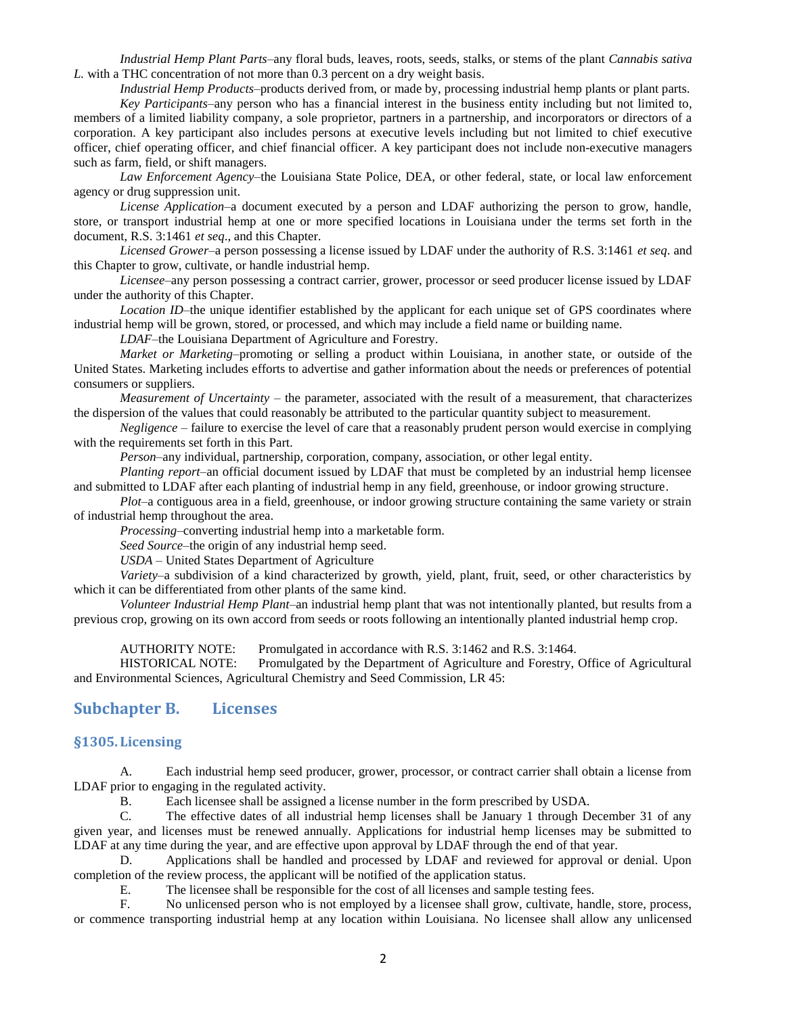*Industrial Hemp Plant Parts*–any floral buds, leaves, roots, seeds, stalks, or stems of the plant *Cannabis sativa L.* with a THC concentration of not more than 0.3 percent on a dry weight basis.

*Industrial Hemp Products*–products derived from, or made by, processing industrial hemp plants or plant parts.

*Key Participants*–any person who has a financial interest in the business entity including but not limited to, members of a limited liability company, a sole proprietor, partners in a partnership, and incorporators or directors of a corporation. A key participant also includes persons at executive levels including but not limited to chief executive officer, chief operating officer, and chief financial officer. A key participant does not include non-executive managers such as farm, field, or shift managers.

*Law Enforcement Agency*–the Louisiana State Police, DEA, or other federal, state, or local law enforcement agency or drug suppression unit.

*License Application*–a document executed by a person and LDAF authorizing the person to grow, handle, store, or transport industrial hemp at one or more specified locations in Louisiana under the terms set forth in the document, R.S. 3:1461 *et seq*., and this Chapter.

*Licensed Grower*–a person possessing a license issued by LDAF under the authority of R.S. 3:1461 *et seq*. and this Chapter to grow, cultivate, or handle industrial hemp.

*Licensee*–any person possessing a contract carrier, grower, processor or seed producer license issued by LDAF under the authority of this Chapter.

*Location ID*–the unique identifier established by the applicant for each unique set of GPS coordinates where industrial hemp will be grown, stored, or processed, and which may include a field name or building name.

*LDAF*–the Louisiana Department of Agriculture and Forestry.

*Market or Marketing*–promoting or selling a product within Louisiana, in another state, or outside of the United States. Marketing includes efforts to advertise and gather information about the needs or preferences of potential consumers or suppliers.

*Measurement of Uncertainty* – the parameter, associated with the result of a measurement, that characterizes the dispersion of the values that could reasonably be attributed to the particular quantity subject to measurement.

*Negligence* – failure to exercise the level of care that a reasonably prudent person would exercise in complying with the requirements set forth in this Part.

*Person*–any individual, partnership, corporation, company, association, or other legal entity.

*Planting report*–an official document issued by LDAF that must be completed by an industrial hemp licensee and submitted to LDAF after each planting of industrial hemp in any field, greenhouse, or indoor growing structure.

*Plot*–a contiguous area in a field, greenhouse, or indoor growing structure containing the same variety or strain of industrial hemp throughout the area.

*Processing*–converting industrial hemp into a marketable form.

*Seed Source*–the origin of any industrial hemp seed.

*USDA* – United States Department of Agriculture

*Variety*–a subdivision of a kind characterized by growth, yield, plant, fruit, seed, or other characteristics by which it can be differentiated from other plants of the same kind.

*Volunteer Industrial Hemp Plant*–an industrial hemp plant that was not intentionally planted, but results from a previous crop, growing on its own accord from seeds or roots following an intentionally planted industrial hemp crop.

AUTHORITY NOTE: Promulgated in accordance with R.S. 3:1462 and R.S. 3:1464.

HISTORICAL NOTE: Promulgated by the Department of Agriculture and Forestry, Office of Agricultural and Environmental Sciences, Agricultural Chemistry and Seed Commission, LR 45:

#### <span id="page-2-0"></span>**Subchapter B. Licenses**

#### <span id="page-2-1"></span>**§1305. Licensing**

A. Each industrial hemp seed producer, grower, processor, or contract carrier shall obtain a license from LDAF prior to engaging in the regulated activity.

B. Each licensee shall be assigned a license number in the form prescribed by USDA.

C. The effective dates of all industrial hemp licenses shall be January 1 through December 31 of any given year, and licenses must be renewed annually. Applications for industrial hemp licenses may be submitted to LDAF at any time during the year, and are effective upon approval by LDAF through the end of that year.

D. Applications shall be handled and processed by LDAF and reviewed for approval or denial. Upon completion of the review process, the applicant will be notified of the application status.

E. The licensee shall be responsible for the cost of all licenses and sample testing fees.

F. No unlicensed person who is not employed by a licensee shall grow, cultivate, handle, store, process, or commence transporting industrial hemp at any location within Louisiana. No licensee shall allow any unlicensed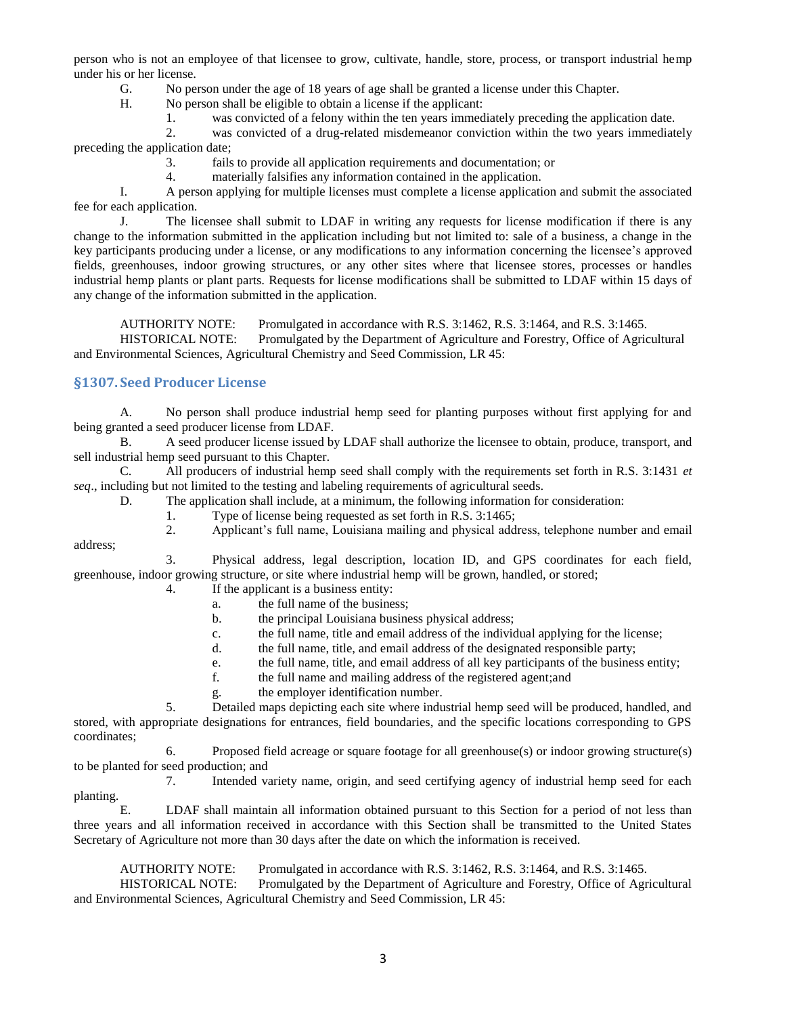person who is not an employee of that licensee to grow, cultivate, handle, store, process, or transport industrial hemp under his or her license.

G. No person under the age of 18 years of age shall be granted a license under this Chapter.<br>H. No person shall be eligible to obtain a license if the applicant:

No person shall be eligible to obtain a license if the applicant:

1. was convicted of a felony within the ten years immediately preceding the application date.

2. was convicted of a drug-related misdemeanor conviction within the two years immediately preceding the application date;

3. fails to provide all application requirements and documentation; or

4. materially falsifies any information contained in the application.

I. A person applying for multiple licenses must complete a license application and submit the associated fee for each application.

J. The licensee shall submit to LDAF in writing any requests for license modification if there is any change to the information submitted in the application including but not limited to: sale of a business, a change in the key participants producing under a license, or any modifications to any information concerning the licensee's approved fields, greenhouses, indoor growing structures, or any other sites where that licensee stores, processes or handles industrial hemp plants or plant parts. Requests for license modifications shall be submitted to LDAF within 15 days of any change of the information submitted in the application.

AUTHORITY NOTE: Promulgated in accordance with R.S. 3:1462, R.S. 3:1464, and R.S. 3:1465.

HISTORICAL NOTE: Promulgated by the Department of Agriculture and Forestry, Office of Agricultural and Environmental Sciences, Agricultural Chemistry and Seed Commission, LR 45:

#### <span id="page-3-0"></span>**§1307. Seed Producer License**

A. No person shall produce industrial hemp seed for planting purposes without first applying for and being granted a seed producer license from LDAF.

B. A seed producer license issued by LDAF shall authorize the licensee to obtain, produce, transport, and sell industrial hemp seed pursuant to this Chapter.

C. All producers of industrial hemp seed shall comply with the requirements set forth in R.S. 3:1431 *et seq*., including but not limited to the testing and labeling requirements of agricultural seeds.

D. The application shall include, at a minimum, the following information for consideration:

1. Type of license being requested as set forth in R.S. 3:1465;

address;

2. Applicant's full name, Louisiana mailing and physical address, telephone number and email 3. Physical address, legal description, location ID, and GPS coordinates for each field,

greenhouse, indoor growing structure, or site where industrial hemp will be grown, handled, or stored;

4. If the applicant is a business entity:

- a. the full name of the business;
- b. the principal Louisiana business physical address;
- c. the full name, title and email address of the individual applying for the license;
- d. the full name, title, and email address of the designated responsible party;
- e. the full name, title, and email address of all key participants of the business entity;
- f. the full name and mailing address of the registered agent;and
- g. the employer identification number.

5. Detailed maps depicting each site where industrial hemp seed will be produced, handled, and stored, with appropriate designations for entrances, field boundaries, and the specific locations corresponding to GPS coordinates;

6. Proposed field acreage or square footage for all greenhouse(s) or indoor growing structure(s) to be planted for seed production; and

7. Intended variety name, origin, and seed certifying agency of industrial hemp seed for each planting.

E. LDAF shall maintain all information obtained pursuant to this Section for a period of not less than three years and all information received in accordance with this Section shall be transmitted to the United States Secretary of Agriculture not more than 30 days after the date on which the information is received.

AUTHORITY NOTE: Promulgated in accordance with R.S. 3:1462, R.S. 3:1464, and R.S. 3:1465. HISTORICAL NOTE: Promulgated by the Department of Agriculture and Forestry, Office of Agricultural and Environmental Sciences, Agricultural Chemistry and Seed Commission, LR 45: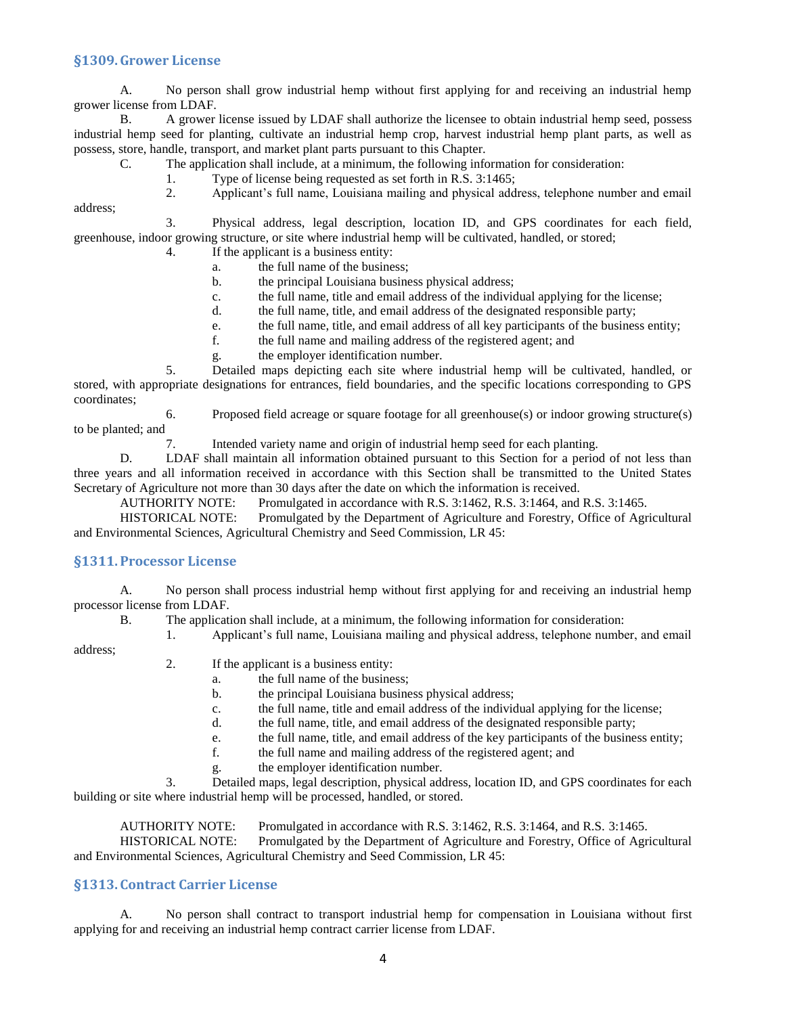#### <span id="page-4-0"></span>**§1309.Grower License**

A. No person shall grow industrial hemp without first applying for and receiving an industrial hemp grower license from LDAF.

B. A grower license issued by LDAF shall authorize the licensee to obtain industrial hemp seed, possess industrial hemp seed for planting, cultivate an industrial hemp crop, harvest industrial hemp plant parts, as well as possess, store, handle, transport, and market plant parts pursuant to this Chapter.

C. The application shall include, at a minimum, the following information for consideration:

1. Type of license being requested as set forth in R.S. 3:1465;

address;

2. Applicant's full name, Louisiana mailing and physical address, telephone number and email

3. Physical address, legal description, location ID, and GPS coordinates for each field, greenhouse, indoor growing structure, or site where industrial hemp will be cultivated, handled, or stored;

- 4. If the applicant is a business entity:
	- a. the full name of the business;
	- b. the principal Louisiana business physical address;
	- c. the full name, title and email address of the individual applying for the license;
	- d. the full name, title, and email address of the designated responsible party;
	- e. the full name, title, and email address of all key participants of the business entity;
	- f. the full name and mailing address of the registered agent; and
	- g. the employer identification number.

5. Detailed maps depicting each site where industrial hemp will be cultivated, handled, or stored, with appropriate designations for entrances, field boundaries, and the specific locations corresponding to GPS coordinates;

6. Proposed field acreage or square footage for all greenhouse(s) or indoor growing structure(s) to be planted; and

7. Intended variety name and origin of industrial hemp seed for each planting.

D. LDAF shall maintain all information obtained pursuant to this Section for a period of not less than three years and all information received in accordance with this Section shall be transmitted to the United States Secretary of Agriculture not more than 30 days after the date on which the information is received.

AUTHORITY NOTE: Promulgated in accordance with R.S. 3:1462, R.S. 3:1464, and R.S. 3:1465.

HISTORICAL NOTE: Promulgated by the Department of Agriculture and Forestry, Office of Agricultural and Environmental Sciences, Agricultural Chemistry and Seed Commission, LR 45:

#### <span id="page-4-1"></span>**§1311.Processor License**

A. No person shall process industrial hemp without first applying for and receiving an industrial hemp processor license from LDAF.

B. The application shall include, at a minimum, the following information for consideration:

1. Applicant's full name, Louisiana mailing and physical address, telephone number, and email

address;

- 2. If the applicant is a business entity:
	- a. the full name of the business;
	- b. the principal Louisiana business physical address;
	- c. the full name, title and email address of the individual applying for the license;
	- d. the full name, title, and email address of the designated responsible party;
	- e. the full name, title, and email address of the key participants of the business entity;
	- f. the full name and mailing address of the registered agent; and
	- g. the employer identification number.

3. Detailed maps, legal description, physical address, location ID, and GPS coordinates for each building or site where industrial hemp will be processed, handled, or stored.

AUTHORITY NOTE: Promulgated in accordance with R.S. 3:1462, R.S. 3:1464, and R.S. 3:1465. HISTORICAL NOTE: Promulgated by the Department of Agriculture and Forestry, Office of Agricultural and Environmental Sciences, Agricultural Chemistry and Seed Commission, LR 45:

### <span id="page-4-2"></span>**§1313. Contract Carrier License**

A. No person shall contract to transport industrial hemp for compensation in Louisiana without first applying for and receiving an industrial hemp contract carrier license from LDAF.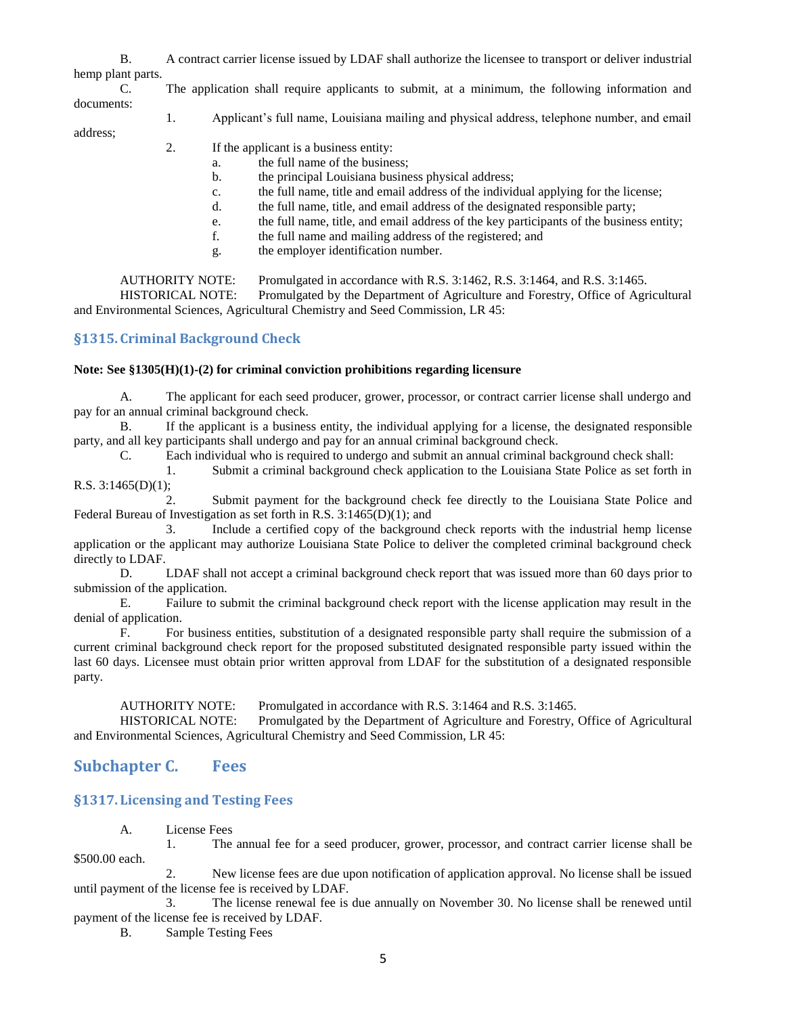|                   | A contract carrier license issued by LDAF shall authorize the licensee to transport or deliver industrial |
|-------------------|-----------------------------------------------------------------------------------------------------------|
| hemp plant parts. |                                                                                                           |

C. The application shall require applicants to submit, at a minimum, the following information and documents:

1. Applicant's full name, Louisiana mailing and physical address, telephone number, and email

address;

- 2. If the applicant is a business entity:
	- a. the full name of the business;
	- b. the principal Louisiana business physical address;
	- c. the full name, title and email address of the individual applying for the license;
	- d. the full name, title, and email address of the designated responsible party;
	- e. the full name, title, and email address of the key participants of the business entity;
	- f. the full name and mailing address of the registered; and
	- g. the employer identification number.

AUTHORITY NOTE: Promulgated in accordance with R.S. 3:1462, R.S. 3:1464, and R.S. 3:1465.

HISTORICAL NOTE: Promulgated by the Department of Agriculture and Forestry, Office of Agricultural and Environmental Sciences, Agricultural Chemistry and Seed Commission, LR 45:

# <span id="page-5-0"></span>**§1315. Criminal Background Check**

#### **Note: See §1305(H)(1)-(2) for criminal conviction prohibitions regarding licensure**

A. The applicant for each seed producer, grower, processor, or contract carrier license shall undergo and pay for an annual criminal background check.

B. If the applicant is a business entity, the individual applying for a license, the designated responsible party, and all key participants shall undergo and pay for an annual criminal background check.

C. Each individual who is required to undergo and submit an annual criminal background check shall:

1. Submit a criminal background check application to the Louisiana State Police as set forth in R.S.  $3:1465(D)(1)$ ;

2. Submit payment for the background check fee directly to the Louisiana State Police and Federal Bureau of Investigation as set forth in R.S. 3:1465(D)(1); and

3. Include a certified copy of the background check reports with the industrial hemp license application or the applicant may authorize Louisiana State Police to deliver the completed criminal background check directly to LDAF.

D. LDAF shall not accept a criminal background check report that was issued more than 60 days prior to submission of the application.

E. Failure to submit the criminal background check report with the license application may result in the denial of application.

F. For business entities, substitution of a designated responsible party shall require the submission of a current criminal background check report for the proposed substituted designated responsible party issued within the last 60 days. Licensee must obtain prior written approval from LDAF for the substitution of a designated responsible party.

AUTHORITY NOTE: Promulgated in accordance with R.S. 3:1464 and R.S. 3:1465.

HISTORICAL NOTE: Promulgated by the Department of Agriculture and Forestry, Office of Agricultural and Environmental Sciences, Agricultural Chemistry and Seed Commission, LR 45:

# <span id="page-5-1"></span>**Subchapter C. Fees**

### <span id="page-5-2"></span>**§1317. Licensing and Testing Fees**

A. License Fees

1. The annual fee for a seed producer, grower, processor, and contract carrier license shall be \$500.00 each.

2. New license fees are due upon notification of application approval. No license shall be issued until payment of the license fee is received by LDAF.

3. The license renewal fee is due annually on November 30. No license shall be renewed until payment of the license fee is received by LDAF.

B. Sample Testing Fees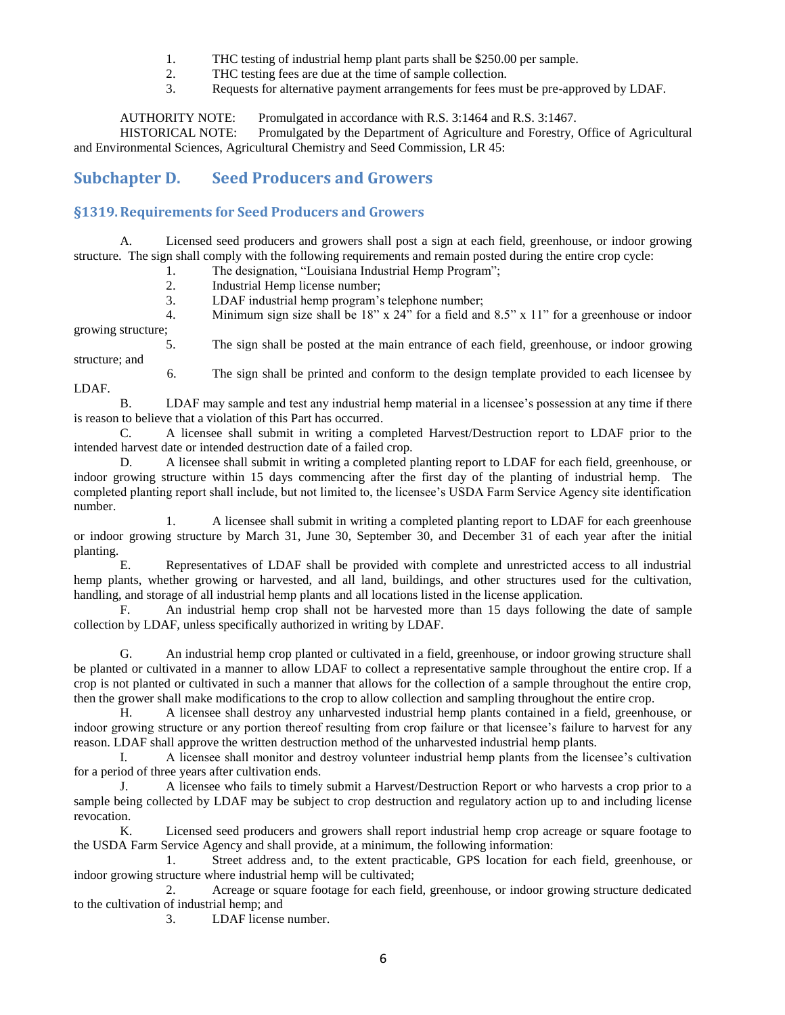- 1. THC testing of industrial hemp plant parts shall be \$250.00 per sample.<br>2. THC testing fees are due at the time of sample collection.
- THC testing fees are due at the time of sample collection.
- 3. Requests for alternative payment arrangements for fees must be pre-approved by LDAF.

AUTHORITY NOTE: Promulgated in accordance with R.S. 3:1464 and R.S. 3:1467. HISTORICAL NOTE: Promulgated by the Department of Agriculture and Forestry, Office of Agricultural and Environmental Sciences, Agricultural Chemistry and Seed Commission, LR 45:

# <span id="page-6-0"></span>**Subchapter D. Seed Producers and Growers**

# <span id="page-6-1"></span>**§1319.Requirements for Seed Producers and Growers**

LDAF.

A. Licensed seed producers and growers shall post a sign at each field, greenhouse, or indoor growing structure. The sign shall comply with the following requirements and remain posted during the entire crop cycle:

- 1. The designation, "Louisiana Industrial Hemp Program";
	- 2. Industrial Hemp license number;
	- 3. LDAF industrial hemp program's telephone number;

4. Minimum sign size shall be 18" x 24" for a field and 8.5" x 11" for a greenhouse or indoor growing structure;

5. The sign shall be posted at the main entrance of each field, greenhouse, or indoor growing structure; and

6. The sign shall be printed and conform to the design template provided to each licensee by

B. LDAF may sample and test any industrial hemp material in a licensee's possession at any time if there is reason to believe that a violation of this Part has occurred.

C. A licensee shall submit in writing a completed Harvest/Destruction report to LDAF prior to the intended harvest date or intended destruction date of a failed crop.

D. A licensee shall submit in writing a completed planting report to LDAF for each field, greenhouse, or indoor growing structure within 15 days commencing after the first day of the planting of industrial hemp. The completed planting report shall include, but not limited to, the licensee's USDA Farm Service Agency site identification number.

1. A licensee shall submit in writing a completed planting report to LDAF for each greenhouse or indoor growing structure by March 31, June 30, September 30, and December 31 of each year after the initial planting.

E. Representatives of LDAF shall be provided with complete and unrestricted access to all industrial hemp plants, whether growing or harvested, and all land, buildings, and other structures used for the cultivation, handling, and storage of all industrial hemp plants and all locations listed in the license application.

F. An industrial hemp crop shall not be harvested more than 15 days following the date of sample collection by LDAF, unless specifically authorized in writing by LDAF.

G. An industrial hemp crop planted or cultivated in a field, greenhouse, or indoor growing structure shall be planted or cultivated in a manner to allow LDAF to collect a representative sample throughout the entire crop. If a crop is not planted or cultivated in such a manner that allows for the collection of a sample throughout the entire crop, then the grower shall make modifications to the crop to allow collection and sampling throughout the entire crop.

H. A licensee shall destroy any unharvested industrial hemp plants contained in a field, greenhouse, or indoor growing structure or any portion thereof resulting from crop failure or that licensee's failure to harvest for any reason. LDAF shall approve the written destruction method of the unharvested industrial hemp plants.

I. A licensee shall monitor and destroy volunteer industrial hemp plants from the licensee's cultivation for a period of three years after cultivation ends.

J. A licensee who fails to timely submit a Harvest/Destruction Report or who harvests a crop prior to a sample being collected by LDAF may be subject to crop destruction and regulatory action up to and including license revocation.

K. Licensed seed producers and growers shall report industrial hemp crop acreage or square footage to the USDA Farm Service Agency and shall provide, at a minimum, the following information:

1. Street address and, to the extent practicable, GPS location for each field, greenhouse, or indoor growing structure where industrial hemp will be cultivated;

2. Acreage or square footage for each field, greenhouse, or indoor growing structure dedicated to the cultivation of industrial hemp; and

3. LDAF license number.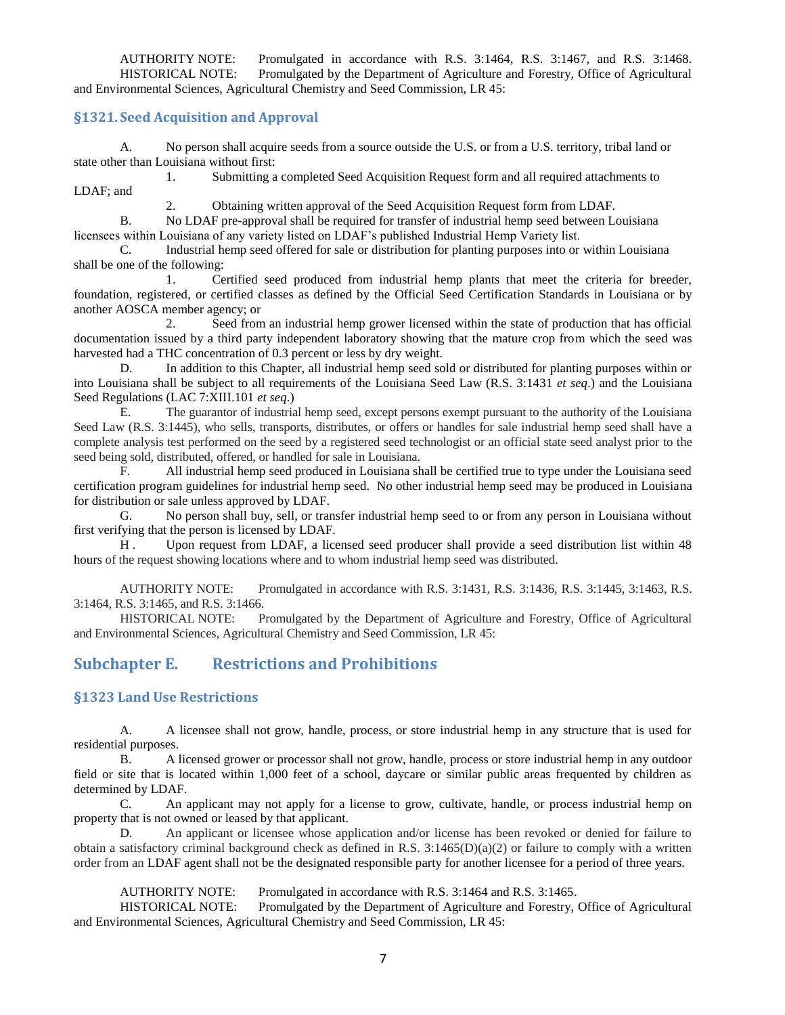AUTHORITY NOTE: Promulgated in accordance with R.S. 3:1464, R.S. 3:1467, and R.S. 3:1468. HISTORICAL NOTE: Promulgated by the Department of Agriculture and Forestry, Office of Agricultural and Environmental Sciences, Agricultural Chemistry and Seed Commission, LR 45:

#### <span id="page-7-0"></span>**§1321. Seed Acquisition and Approval**

A. No person shall acquire seeds from a source outside the U.S. or from a U.S. territory, tribal land or state other than Louisiana without first:

1. Submitting a completed Seed Acquisition Request form and all required attachments to LDAF; and

2. Obtaining written approval of the Seed Acquisition Request form from LDAF.

B. No LDAF pre-approval shall be required for transfer of industrial hemp seed between Louisiana licensees within Louisiana of any variety listed on LDAF's published Industrial Hemp Variety list.

C. Industrial hemp seed offered for sale or distribution for planting purposes into or within Louisiana shall be one of the following:

1. Certified seed produced from industrial hemp plants that meet the criteria for breeder, foundation, registered, or certified classes as defined by the Official Seed Certification Standards in Louisiana or by another AOSCA member agency; or

2. Seed from an industrial hemp grower licensed within the state of production that has official documentation issued by a third party independent laboratory showing that the mature crop from which the seed was harvested had a THC concentration of 0.3 percent or less by dry weight.

D. In addition to this Chapter, all industrial hemp seed sold or distributed for planting purposes within or into Louisiana shall be subject to all requirements of the Louisiana Seed Law (R.S. 3:1431 *et seq*.) and the Louisiana Seed Regulations (LAC 7:XIII.101 *et seq*.)

E. The guarantor of industrial hemp seed, except persons exempt pursuant to the authority of the Louisiana Seed Law (R.S. 3:1445), who sells, transports, distributes, or offers or handles for sale industrial hemp seed shall have a complete analysis test performed on the seed by a registered seed technologist or an official state seed analyst prior to the seed being sold, distributed, offered, or handled for sale in Louisiana.

F. All industrial hemp seed produced in Louisiana shall be certified true to type under the Louisiana seed certification program guidelines for industrial hemp seed. No other industrial hemp seed may be produced in Louisiana for distribution or sale unless approved by LDAF.

G. No person shall buy, sell, or transfer industrial hemp seed to or from any person in Louisiana without first verifying that the person is licensed by LDAF.

H . Upon request from LDAF, a licensed seed producer shall provide a seed distribution list within 48 hours of the request showing locations where and to whom industrial hemp seed was distributed.

AUTHORITY NOTE: Promulgated in accordance with R.S. 3:1431, R.S. 3:1436, R.S. 3:1445, 3:1463, R.S. 3:1464, R.S. 3:1465, and R.S. 3:1466.

HISTORICAL NOTE: Promulgated by the Department of Agriculture and Forestry, Office of Agricultural and Environmental Sciences, Agricultural Chemistry and Seed Commission, LR 45:

# <span id="page-7-1"></span>**Subchapter E. Restrictions and Prohibitions**

#### <span id="page-7-2"></span>**§1323 Land Use Restrictions**

A. A licensee shall not grow, handle, process, or store industrial hemp in any structure that is used for residential purposes.

B. A licensed grower or processor shall not grow, handle, process or store industrial hemp in any outdoor field or site that is located within 1,000 feet of a school, daycare or similar public areas frequented by children as determined by LDAF.

C. An applicant may not apply for a license to grow, cultivate, handle, or process industrial hemp on property that is not owned or leased by that applicant.

D. An applicant or licensee whose application and/or license has been revoked or denied for failure to obtain a satisfactory criminal background check as defined in R.S.  $3:1465(D)(a)(2)$  or failure to comply with a written order from an LDAF agent shall not be the designated responsible party for another licensee for a period of three years.

AUTHORITY NOTE: Promulgated in accordance with R.S. 3:1464 and R.S. 3:1465.

HISTORICAL NOTE: Promulgated by the Department of Agriculture and Forestry, Office of Agricultural and Environmental Sciences, Agricultural Chemistry and Seed Commission, LR 45: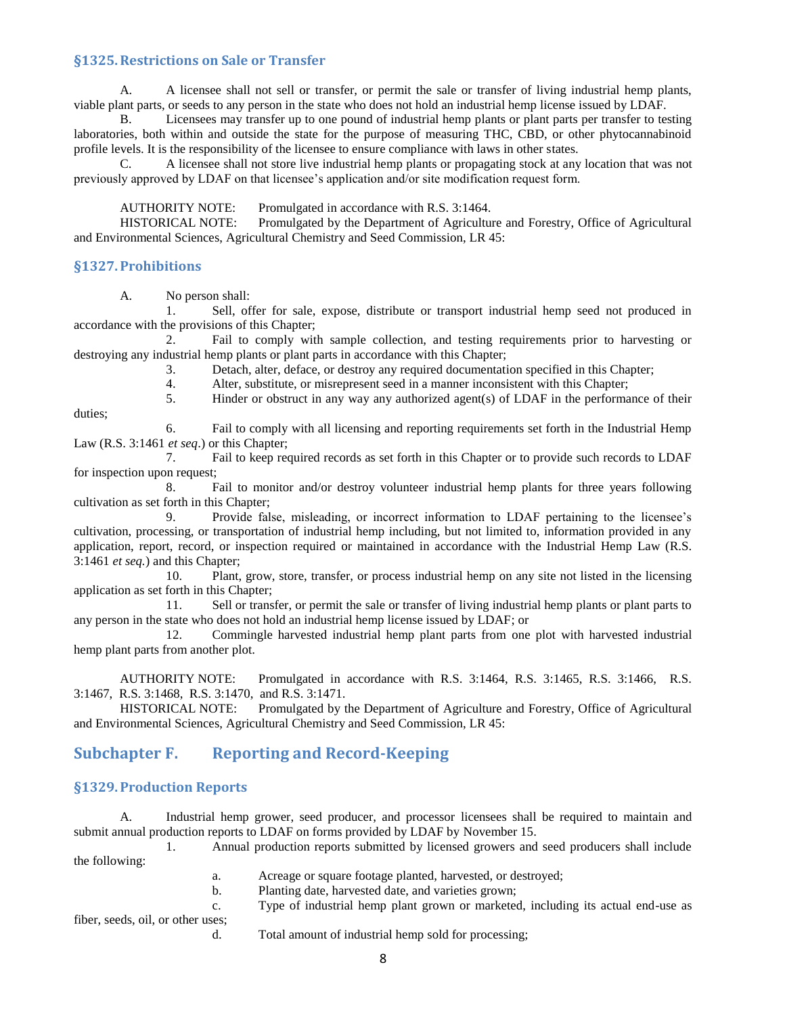#### <span id="page-8-0"></span>**§1325.Restrictions on Sale or Transfer**

A. A licensee shall not sell or transfer, or permit the sale or transfer of living industrial hemp plants, viable plant parts, or seeds to any person in the state who does not hold an industrial hemp license issued by LDAF.

B. Licensees may transfer up to one pound of industrial hemp plants or plant parts per transfer to testing laboratories, both within and outside the state for the purpose of measuring THC, CBD, or other phytocannabinoid profile levels. It is the responsibility of the licensee to ensure compliance with laws in other states.

C. A licensee shall not store live industrial hemp plants or propagating stock at any location that was not previously approved by LDAF on that licensee's application and/or site modification request form.

AUTHORITY NOTE: Promulgated in accordance with R.S. 3:1464.

HISTORICAL NOTE: Promulgated by the Department of Agriculture and Forestry, Office of Agricultural and Environmental Sciences, Agricultural Chemistry and Seed Commission, LR 45:

#### <span id="page-8-1"></span>**§1327.Prohibitions**

duties;

A. No person shall:

1. Sell, offer for sale, expose, distribute or transport industrial hemp seed not produced in accordance with the provisions of this Chapter;

2. Fail to comply with sample collection, and testing requirements prior to harvesting or destroying any industrial hemp plants or plant parts in accordance with this Chapter;

3. Detach, alter, deface, or destroy any required documentation specified in this Chapter;

4. Alter, substitute, or misrepresent seed in a manner inconsistent with this Chapter;<br>5. Hinder or obstruct in any way any authorized agent(s) of LDAF in the performa

Hinder or obstruct in any way any authorized agent(s) of LDAF in the performance of their

6. Fail to comply with all licensing and reporting requirements set forth in the Industrial Hemp Law (R.S. 3:1461 *et seq*.) or this Chapter;

7. Fail to keep required records as set forth in this Chapter or to provide such records to LDAF for inspection upon request;

8. Fail to monitor and/or destroy volunteer industrial hemp plants for three years following cultivation as set forth in this Chapter;

9. Provide false, misleading, or incorrect information to LDAF pertaining to the licensee's cultivation, processing, or transportation of industrial hemp including, but not limited to, information provided in any application, report, record, or inspection required or maintained in accordance with the Industrial Hemp Law (R.S. 3:1461 *et seq.*) and this Chapter;

10. Plant, grow, store, transfer, or process industrial hemp on any site not listed in the licensing application as set forth in this Chapter;

11. Sell or transfer, or permit the sale or transfer of living industrial hemp plants or plant parts to any person in the state who does not hold an industrial hemp license issued by LDAF; or

12. Commingle harvested industrial hemp plant parts from one plot with harvested industrial hemp plant parts from another plot.

AUTHORITY NOTE: Promulgated in accordance with R.S. 3:1464, R.S. 3:1465, R.S. 3:1466, R.S. 3:1467, R.S. 3:1468, R.S. 3:1470, and R.S. 3:1471.

HISTORICAL NOTE: Promulgated by the Department of Agriculture and Forestry, Office of Agricultural and Environmental Sciences, Agricultural Chemistry and Seed Commission, LR 45:

# <span id="page-8-2"></span>**Subchapter F. Reporting and Record-Keeping**

#### <span id="page-8-3"></span>**§1329.Production Reports**

A. Industrial hemp grower, seed producer, and processor licensees shall be required to maintain and submit annual production reports to LDAF on forms provided by LDAF by November 15.

1. Annual production reports submitted by licensed growers and seed producers shall include the following:

- a. Acreage or square footage planted, harvested, or destroyed;
- b. Planting date, harvested date, and varieties grown;
- c. Type of industrial hemp plant grown or marketed, including its actual end-use as

fiber, seeds, oil, or other uses;

d. Total amount of industrial hemp sold for processing;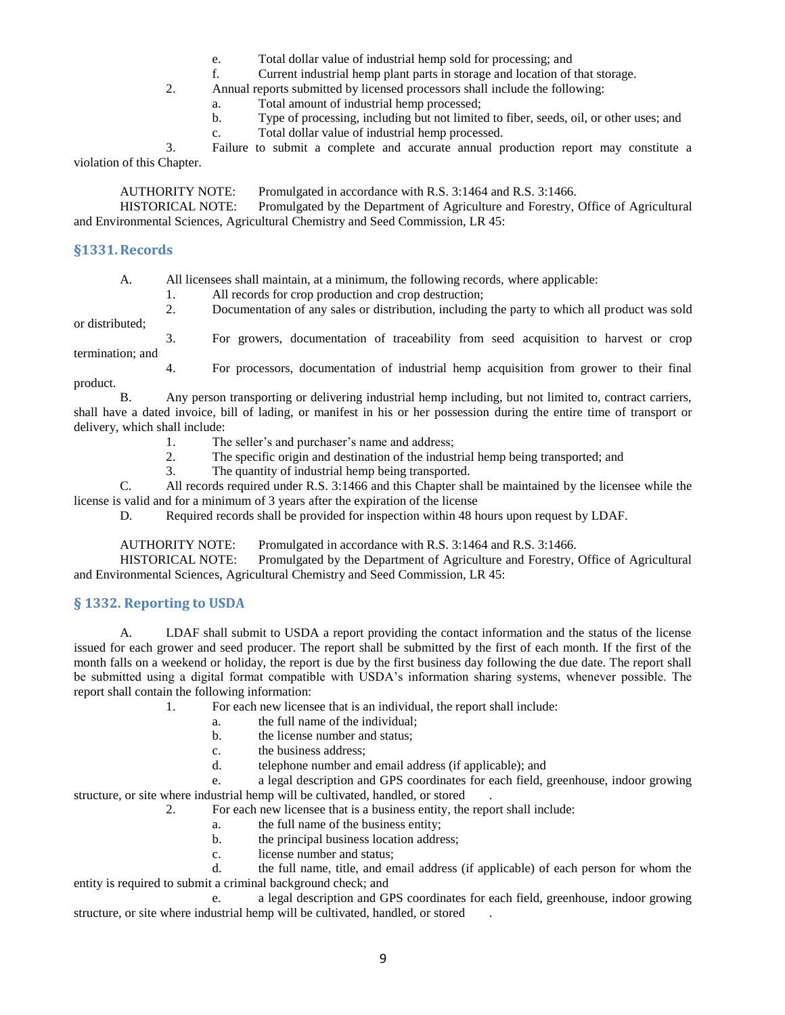- e. Total dollar value of industrial hemp sold for processing; and
- f. Current industrial hemp plant parts in storage and location of that storage.
- 2. Annual reports submitted by licensed processors shall include the following:
	- a. Total amount of industrial hemp processed;
	- b. Type of processing, including but not limited to fiber, seeds, oil, or other uses; and
	- c. Total dollar value of industrial hemp processed.

3. Failure to submit a complete and accurate annual production report may constitute a violation of this Chapter.

AUTHORITY NOTE: Promulgated in accordance with R.S. 3:1464 and R.S. 3:1466.

HISTORICAL NOTE: Promulgated by the Department of Agriculture and Forestry, Office of Agricultural and Environmental Sciences, Agricultural Chemistry and Seed Commission, LR 45:

#### <span id="page-9-0"></span>**§1331.Records**

A. All licensees shall maintain, at a minimum, the following records, where applicable:

1. All records for crop production and crop destruction;

2. Documentation of any sales or distribution, including the party to which all product was sold or distributed;

termination; and

3. For growers, documentation of traceability from seed acquisition to harvest or crop

4. For processors, documentation of industrial hemp acquisition from grower to their final product.

B. Any person transporting or delivering industrial hemp including, but not limited to, contract carriers, shall have a dated invoice, bill of lading, or manifest in his or her possession during the entire time of transport or delivery, which shall include:

- 1. The seller's and purchaser's name and address;
- 2. The specific origin and destination of the industrial hemp being transported; and
- 3. The quantity of industrial hemp being transported.

C. All records required under R.S. 3:1466 and this Chapter shall be maintained by the licensee while the license is valid and for a minimum of 3 years after the expiration of the license

D. Required records shall be provided for inspection within 48 hours upon request by LDAF.

AUTHORITY NOTE: Promulgated in accordance with R.S. 3:1464 and R.S. 3:1466.

HISTORICAL NOTE: Promulgated by the Department of Agriculture and Forestry, Office of Agricultural and Environmental Sciences, Agricultural Chemistry and Seed Commission, LR 45:

#### <span id="page-9-1"></span>**§ 1332. Reporting to USDA**

A. LDAF shall submit to USDA a report providing the contact information and the status of the license issued for each grower and seed producer. The report shall be submitted by the first of each month. If the first of the month falls on a weekend or holiday, the report is due by the first business day following the due date. The report shall be submitted using a digital format compatible with USDA's information sharing systems, whenever possible. The report shall contain the following information:

1. For each new licensee that is an individual, the report shall include:

- a. the full name of the individual;
- b. the license number and status;
- c. the business address;
- d. telephone number and email address (if applicable); and

e. a legal description and GPS coordinates for each field, greenhouse, indoor growing structure, or site where industrial hemp will be cultivated, handled, or stored

2. For each new licensee that is a business entity, the report shall include:

- a. the full name of the business entity;
- b. the principal business location address;
- c. license number and status;

d. the full name, title, and email address (if applicable) of each person for whom the entity is required to submit a criminal background check; and

e. a legal description and GPS coordinates for each field, greenhouse, indoor growing structure, or site where industrial hemp will be cultivated, handled, or stored .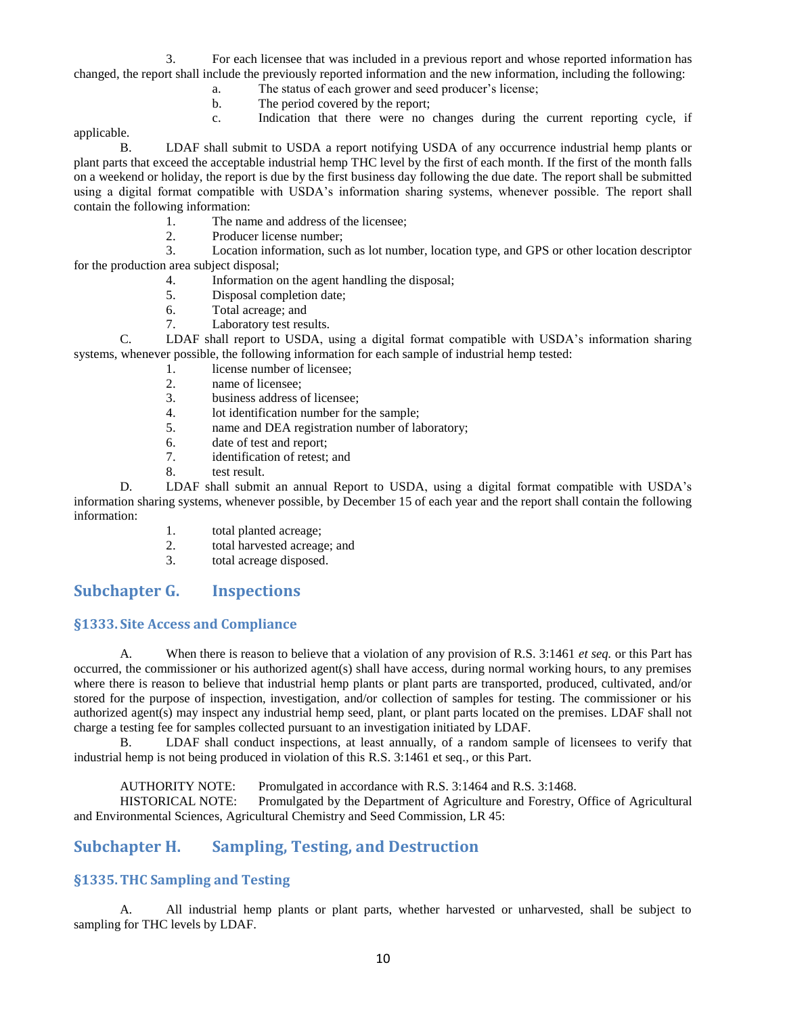3. For each licensee that was included in a previous report and whose reported information has changed, the report shall include the previously reported information and the new information, including the following:

- a. The status of each grower and seed producer's license;
- b. The period covered by the report;
- c. Indication that there were no changes during the current reporting cycle, if

applicable.

B. LDAF shall submit to USDA a report notifying USDA of any occurrence industrial hemp plants or plant parts that exceed the acceptable industrial hemp THC level by the first of each month. If the first of the month falls on a weekend or holiday, the report is due by the first business day following the due date. The report shall be submitted using a digital format compatible with USDA's information sharing systems, whenever possible. The report shall contain the following information:

- 1. The name and address of the licensee;
- 2. Producer license number;

3. Location information, such as lot number, location type, and GPS or other location descriptor for the production area subject disposal;

- 4. Information on the agent handling the disposal;
- 5. Disposal completion date;
- 6. Total acreage; and
- 7. Laboratory test results.

C. LDAF shall report to USDA, using a digital format compatible with USDA's information sharing systems, whenever possible, the following information for each sample of industrial hemp tested:

- 1. license number of licensee;
- 2. name of licensee;<br>3. business address of
- business address of licensee;
- 4. lot identification number for the sample;
- 5. name and DEA registration number of laboratory;
- 6. date of test and report;
- 7. identification of retest; and
- 8. test result.

D. LDAF shall submit an annual Report to USDA, using a digital format compatible with USDA's information sharing systems, whenever possible, by December 15 of each year and the report shall contain the following information:

- 1. total planted acreage;
- 2. total harvested acreage; and
- 3. total acreage disposed.

# <span id="page-10-0"></span>**Subchapter G. Inspections**

#### <span id="page-10-1"></span>**§1333. Site Access and Compliance**

A. When there is reason to believe that a violation of any provision of R.S. 3:1461 *et seq.* or this Part has occurred, the commissioner or his authorized agent(s) shall have access, during normal working hours, to any premises where there is reason to believe that industrial hemp plants or plant parts are transported, produced, cultivated, and/or stored for the purpose of inspection, investigation, and/or collection of samples for testing. The commissioner or his authorized agent(s) may inspect any industrial hemp seed, plant, or plant parts located on the premises. LDAF shall not charge a testing fee for samples collected pursuant to an investigation initiated by LDAF.

B. LDAF shall conduct inspections, at least annually, of a random sample of licensees to verify that industrial hemp is not being produced in violation of this R.S. 3:1461 et seq., or this Part.

AUTHORITY NOTE: Promulgated in accordance with R.S. 3:1464 and R.S. 3:1468.

HISTORICAL NOTE: Promulgated by the Department of Agriculture and Forestry, Office of Agricultural and Environmental Sciences, Agricultural Chemistry and Seed Commission, LR 45:

# <span id="page-10-2"></span>**Subchapter H. Sampling, Testing, and Destruction**

# <span id="page-10-3"></span>**§1335.THC Sampling and Testing**

A. All industrial hemp plants or plant parts, whether harvested or unharvested, shall be subject to sampling for THC levels by LDAF.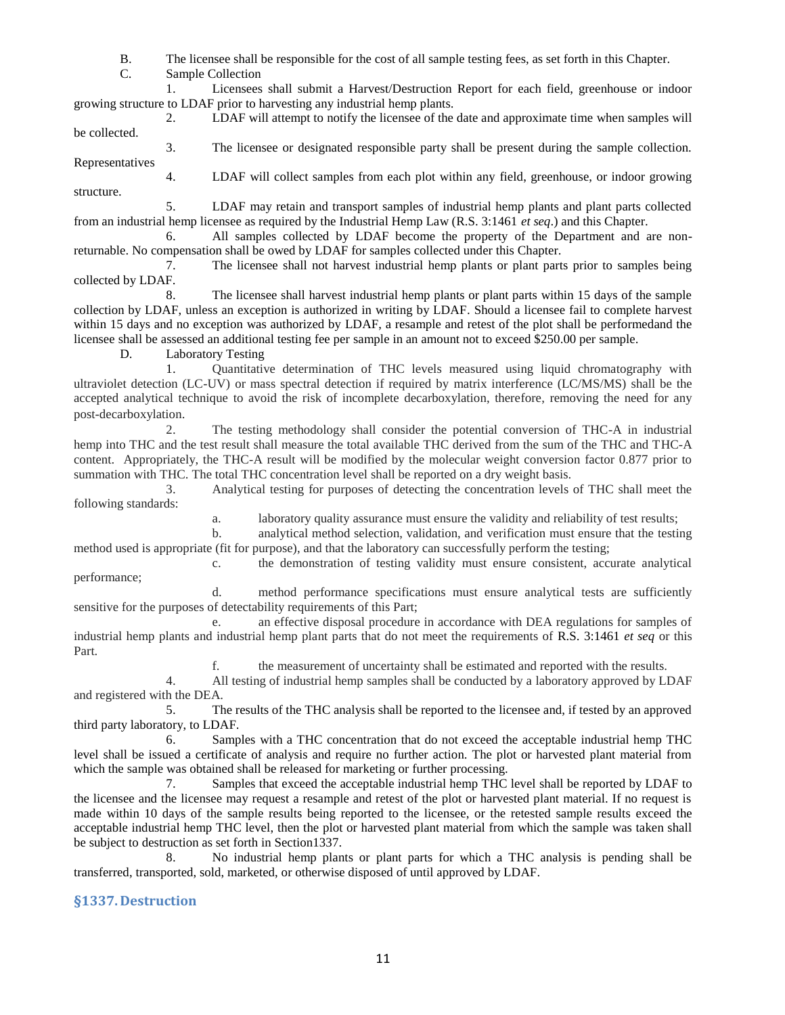B. The licensee shall be responsible for the cost of all sample testing fees, as set forth in this Chapter.

C. Sample Collection

1. Licensees shall submit a Harvest/Destruction Report for each field, greenhouse or indoor growing structure to LDAF prior to harvesting any industrial hemp plants.

2. LDAF will attempt to notify the licensee of the date and approximate time when samples will be collected.

3. The licensee or designated responsible party shall be present during the sample collection. Representatives

4. LDAF will collect samples from each plot within any field, greenhouse, or indoor growing structure.

5. LDAF may retain and transport samples of industrial hemp plants and plant parts collected from an industrial hemp licensee as required by the Industrial Hemp Law (R.S. 3:1461 *et seq*.) and this Chapter.

6. All samples collected by LDAF become the property of the Department and are nonreturnable. No compensation shall be owed by LDAF for samples collected under this Chapter.

7. The licensee shall not harvest industrial hemp plants or plant parts prior to samples being collected by LDAF.

8. The licensee shall harvest industrial hemp plants or plant parts within 15 days of the sample collection by LDAF, unless an exception is authorized in writing by LDAF. Should a licensee fail to complete harvest within 15 days and no exception was authorized by LDAF, a resample and retest of the plot shall be performedand the licensee shall be assessed an additional testing fee per sample in an amount not to exceed \$250.00 per sample.

D. Laboratory Testing

1. Quantitative determination of THC levels measured using liquid chromatography with ultraviolet detection (LC-UV) or mass spectral detection if required by matrix interference (LC/MS/MS) shall be the accepted analytical technique to avoid the risk of incomplete decarboxylation, therefore, removing the need for any post-decarboxylation.

2. The testing methodology shall consider the potential conversion of THC-A in industrial hemp into THC and the test result shall measure the total available THC derived from the sum of the THC and THC-A content. Appropriately, the THC-A result will be modified by the molecular weight conversion factor 0.877 prior to summation with THC. The total THC concentration level shall be reported on a dry weight basis.

3. Analytical testing for purposes of detecting the concentration levels of THC shall meet the following standards:

a. laboratory quality assurance must ensure the validity and reliability of test results;

b. analytical method selection, validation, and verification must ensure that the testing method used is appropriate (fit for purpose), and that the laboratory can successfully perform the testing;

c. the demonstration of testing validity must ensure consistent, accurate analytical performance;

d. method performance specifications must ensure analytical tests are sufficiently sensitive for the purposes of detectability requirements of this Part;

e. an effective disposal procedure in accordance with DEA regulations for samples of industrial hemp plants and industrial hemp plant parts that do not meet the requirements of R.S. 3:1461 *et seq* or this Part.

f. the measurement of uncertainty shall be estimated and reported with the results.

4. All testing of industrial hemp samples shall be conducted by a laboratory approved by LDAF and registered with the DEA.

5. The results of the THC analysis shall be reported to the licensee and, if tested by an approved third party laboratory, to LDAF.

6. Samples with a THC concentration that do not exceed the acceptable industrial hemp THC level shall be issued a certificate of analysis and require no further action. The plot or harvested plant material from which the sample was obtained shall be released for marketing or further processing.

7. Samples that exceed the acceptable industrial hemp THC level shall be reported by LDAF to the licensee and the licensee may request a resample and retest of the plot or harvested plant material. If no request is made within 10 days of the sample results being reported to the licensee, or the retested sample results exceed the acceptable industrial hemp THC level, then the plot or harvested plant material from which the sample was taken shall be subject to destruction as set forth in Section1337.

8. No industrial hemp plants or plant parts for which a THC analysis is pending shall be transferred, transported, sold, marketed, or otherwise disposed of until approved by LDAF.

# <span id="page-11-0"></span>**§1337. Destruction**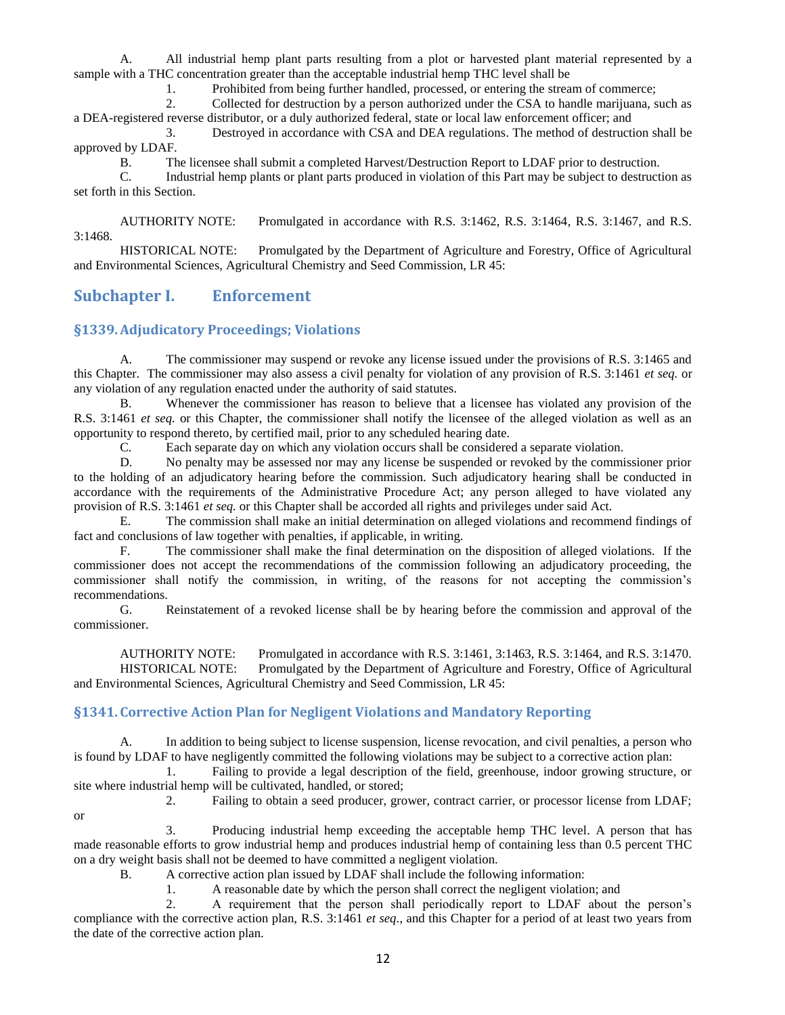A. All industrial hemp plant parts resulting from a plot or harvested plant material represented by a sample with a THC concentration greater than the acceptable industrial hemp THC level shall be

1. Prohibited from being further handled, processed, or entering the stream of commerce;

2. Collected for destruction by a person authorized under the CSA to handle marijuana, such as a DEA-registered reverse distributor, or a duly authorized federal, state or local law enforcement officer; and

3. Destroyed in accordance with CSA and DEA regulations. The method of destruction shall be approved by LDAF.

B. The licensee shall submit a completed Harvest/Destruction Report to LDAF prior to destruction.

C. Industrial hemp plants or plant parts produced in violation of this Part may be subject to destruction as set forth in this Section.

AUTHORITY NOTE: Promulgated in accordance with R.S. 3:1462, R.S. 3:1464, R.S. 3:1467, and R.S. 3:1468.

HISTORICAL NOTE: Promulgated by the Department of Agriculture and Forestry, Office of Agricultural and Environmental Sciences, Agricultural Chemistry and Seed Commission, LR 45:

# <span id="page-12-0"></span>**Subchapter I. Enforcement**

#### <span id="page-12-1"></span>**§1339.Adjudicatory Proceedings; Violations**

A. The commissioner may suspend or revoke any license issued under the provisions of R.S. 3:1465 and this Chapter. The commissioner may also assess a civil penalty for violation of any provision of R.S. 3:1461 *et seq.* or any violation of any regulation enacted under the authority of said statutes.

B. Whenever the commissioner has reason to believe that a licensee has violated any provision of the R.S. 3:1461 *et seq.* or this Chapter, the commissioner shall notify the licensee of the alleged violation as well as an opportunity to respond thereto, by certified mail, prior to any scheduled hearing date.

C. Each separate day on which any violation occurs shall be considered a separate violation.

D. No penalty may be assessed nor may any license be suspended or revoked by the commissioner prior to the holding of an adjudicatory hearing before the commission. Such adjudicatory hearing shall be conducted in accordance with the requirements of the Administrative Procedure Act; any person alleged to have violated any provision of R.S. 3:1461 *et seq.* or this Chapter shall be accorded all rights and privileges under said Act.

E. The commission shall make an initial determination on alleged violations and recommend findings of fact and conclusions of law together with penalties, if applicable, in writing.

F. The commissioner shall make the final determination on the disposition of alleged violations. If the commissioner does not accept the recommendations of the commission following an adjudicatory proceeding, the commissioner shall notify the commission, in writing, of the reasons for not accepting the commission's recommendations.

G. Reinstatement of a revoked license shall be by hearing before the commission and approval of the commissioner.

AUTHORITY NOTE: Promulgated in accordance with R.S. 3:1461, 3:1463, R.S. 3:1464, and R.S. 3:1470. HISTORICAL NOTE: Promulgated by the Department of Agriculture and Forestry, Office of Agricultural and Environmental Sciences, Agricultural Chemistry and Seed Commission, LR 45:

### <span id="page-12-2"></span>**§1341. Corrective Action Plan for Negligent Violations and Mandatory Reporting**

A. In addition to being subject to license suspension, license revocation, and civil penalties, a person who is found by LDAF to have negligently committed the following violations may be subject to a corrective action plan:

1. Failing to provide a legal description of the field, greenhouse, indoor growing structure, or site where industrial hemp will be cultivated, handled, or stored;

or

2. Failing to obtain a seed producer, grower, contract carrier, or processor license from LDAF;

3. Producing industrial hemp exceeding the acceptable hemp THC level. A person that has made reasonable efforts to grow industrial hemp and produces industrial hemp of containing less than 0.5 percent THC on a dry weight basis shall not be deemed to have committed a negligent violation.

B. A corrective action plan issued by LDAF shall include the following information:

1. A reasonable date by which the person shall correct the negligent violation; and

2. A requirement that the person shall periodically report to LDAF about the person's compliance with the corrective action plan, R.S. 3:1461 *et seq.*, and this Chapter for a period of at least two years from the date of the corrective action plan.